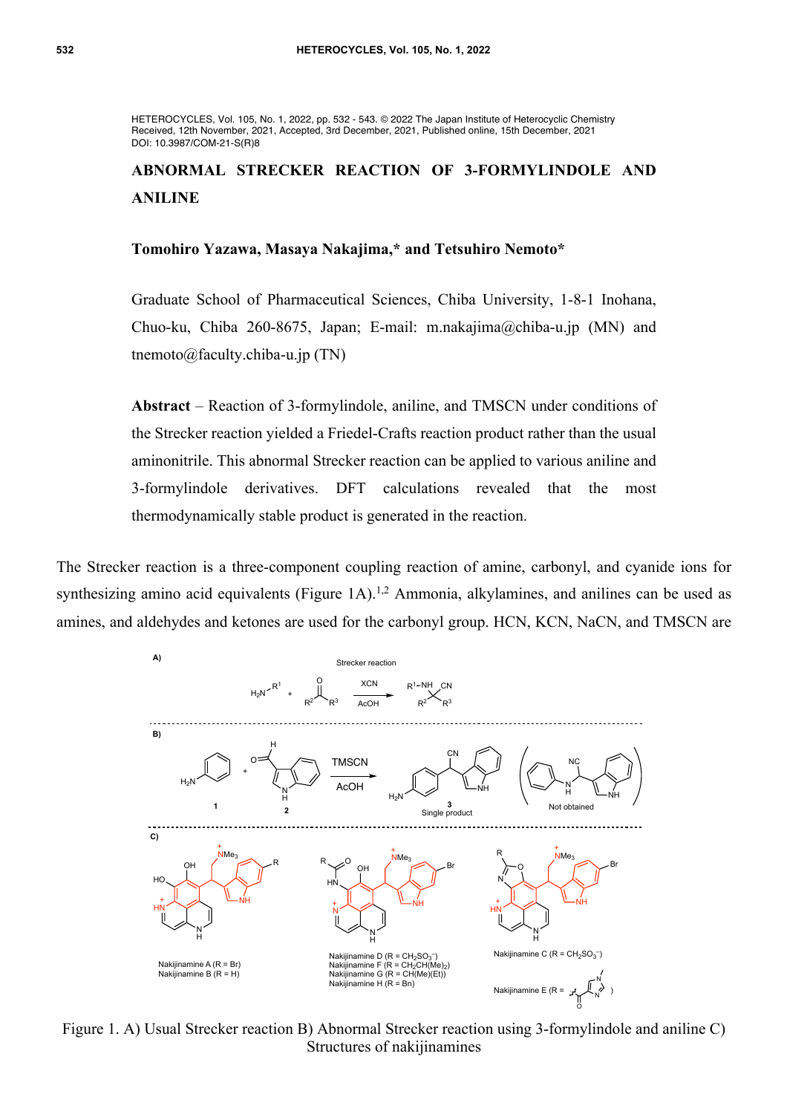HETEROCYCLES, Vol. 105, No. 1, 2022, pp. 532 - 543. © 2022 The Japan Institute of Heterocyclic Chemistry Received, 12th November, 2021, Accepted, 3rd December, 2021, Published online, 15th December, 2021 DOI: 10.3987/COM-21-S(R)8

# **ABNORMAL STRECKER REACTION OF 3-FORMYLINDOLE AND ANILINE**

#### **Tomohiro Yazawa, Masaya Nakajima,\* and Tetsuhiro Nemoto\***

Graduate School of Pharmaceutical Sciences, Chiba University, 1-8-1 Inohana, Chuo-ku, Chiba 260-8675, Japan; E-mail: m.nakajima@chiba-u.jp (MN) and tnemoto@faculty.chiba-u.jp (TN)

**Abstract** – Reaction of 3-formylindole, aniline, and TMSCN under conditions of the Strecker reaction yielded a Friedel-Crafts reaction product rather than the usual aminonitrile. This abnormal Strecker reaction can be applied to various aniline and 3-formylindole derivatives. DFT calculations revealed that the most thermodynamically stable product is generated in the reaction.

The Strecker reaction is a three-component coupling reaction of amine, carbonyl, and cyanide ions for synthesizing amino acid equivalents (Figure 1A).<sup>1,2</sup> Ammonia, alkylamines, and anilines can be used as amines, and aldehydes and ketones are used for the carbonyl group. HCN, KCN, NaCN, and TMSCN are



Figure 1. A) Usual Strecker reaction B) Abnormal Strecker reaction using 3-formylindole and aniline C) Structures of nakijinamines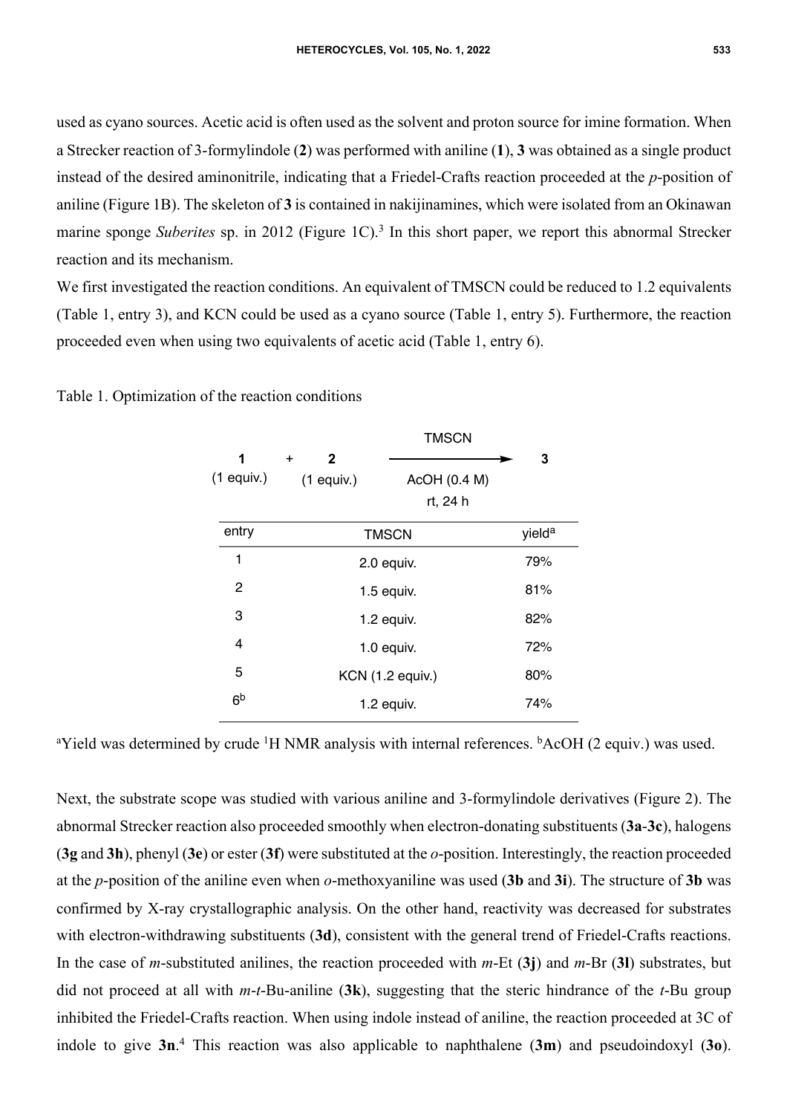used as cyano sources. Acetic acid is often used as the solvent and proton source for imine formation. When a Strecker reaction of 3-formylindole (**2**) was performed with aniline (**1**), **3** was obtained as a single product instead of the desired aminonitrile, indicating that a Friedel-Crafts reaction proceeded at the *p*-position of aniline (Figure 1B). The skeleton of **3** is contained in nakijinamines, which were isolated from an Okinawan marine sponge *Suberites* sp. in 2012 (Figure 1C).<sup>3</sup> In this short paper, we report this abnormal Strecker reaction and its mechanism.

We first investigated the reaction conditions. An equivalent of TMSCN could be reduced to 1.2 equivalents (Table 1, entry 3), and KCN could be used as a cyano source (Table 1, entry 5). Furthermore, the reaction proceeded even when using two equivalents of acetic acid (Table 1, entry 6).

|                   | <b>TMSCN</b>                              |                          |                    |
|-------------------|-------------------------------------------|--------------------------|--------------------|
| 1<br>$(1$ equiv.) | $\mathbf{2}$<br>$\ddot{}$<br>$(1$ equiv.) | AcOH (0.4 M)<br>rt, 24 h | 3                  |
| entry             | <b>TMSCN</b>                              |                          | yield <sup>a</sup> |
| 1                 | 2.0 equiv.                                |                          | 79%                |
| 2                 | 1.5 equiv.                                |                          | 81%                |
| 3                 | 1.2 equiv.                                |                          | 82%                |
| $\overline{4}$    | 1.0 equiv.                                |                          | 72%                |
| 5                 | KCN (1.2 equiv.)                          |                          | 80%                |
| 6 <sup>b</sup>    | $1.2$ equiv.                              |                          | 74%                |
|                   |                                           |                          |                    |

Table 1. Optimization of the reaction conditions

<sup>a</sup>Yield was determined by crude <sup>1</sup>H NMR analysis with internal references. <sup>b</sup>AcOH (2 equiv.) was used.

Next, the substrate scope was studied with various aniline and 3-formylindole derivatives (Figure 2). The abnormal Strecker reaction also proceeded smoothly when electron-donating substituents (**3a**-**3c**), halogens (**3g** and **3h**), phenyl (**3e**) or ester (**3f**) were substituted at the *o*-position. Interestingly, the reaction proceeded at the *p*-position of the aniline even when *o*-methoxyaniline was used (**3b** and **3i**). The structure of **3b** was confirmed by X-ray crystallographic analysis. On the other hand, reactivity was decreased for substrates with electron-withdrawing substituents (3d), consistent with the general trend of Friedel-Crafts reactions. In the case of *m*-substituted anilines, the reaction proceeded with *m*-Et (**3j**) and *m*-Br (**3l**) substrates, but did not proceed at all with *m*-*t*-Bu-aniline (**3k**), suggesting that the steric hindrance of the *t*-Bu group inhibited the Friedel-Crafts reaction. When using indole instead of aniline, the reaction proceeded at 3C of indole to give **3n**. 4 This reaction was also applicable to naphthalene (**3m**) and pseudoindoxyl (**3o**).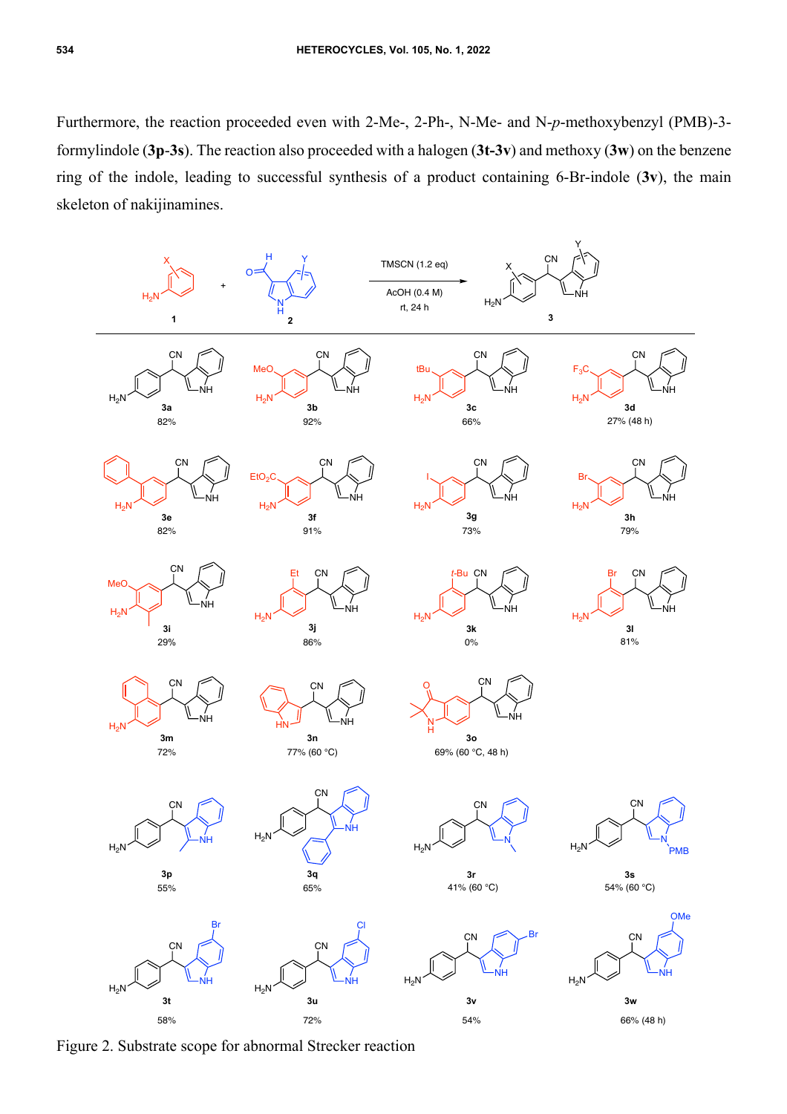Furthermore, the reaction proceeded even with 2-Me-, 2-Ph-, N-Me- and N-*p*-methoxybenzyl (PMB)-3 formylindole (**3p**-**3s**). The reaction also proceeded with a halogen (**3t-3v**) and methoxy (**3w**) on the benzene ring of the indole, leading to successful synthesis of a product containing 6-Br-indole (**3v**), the main skeleton of nakijinamines.



Figure 2. Substrate scope for abnormal Strecker reaction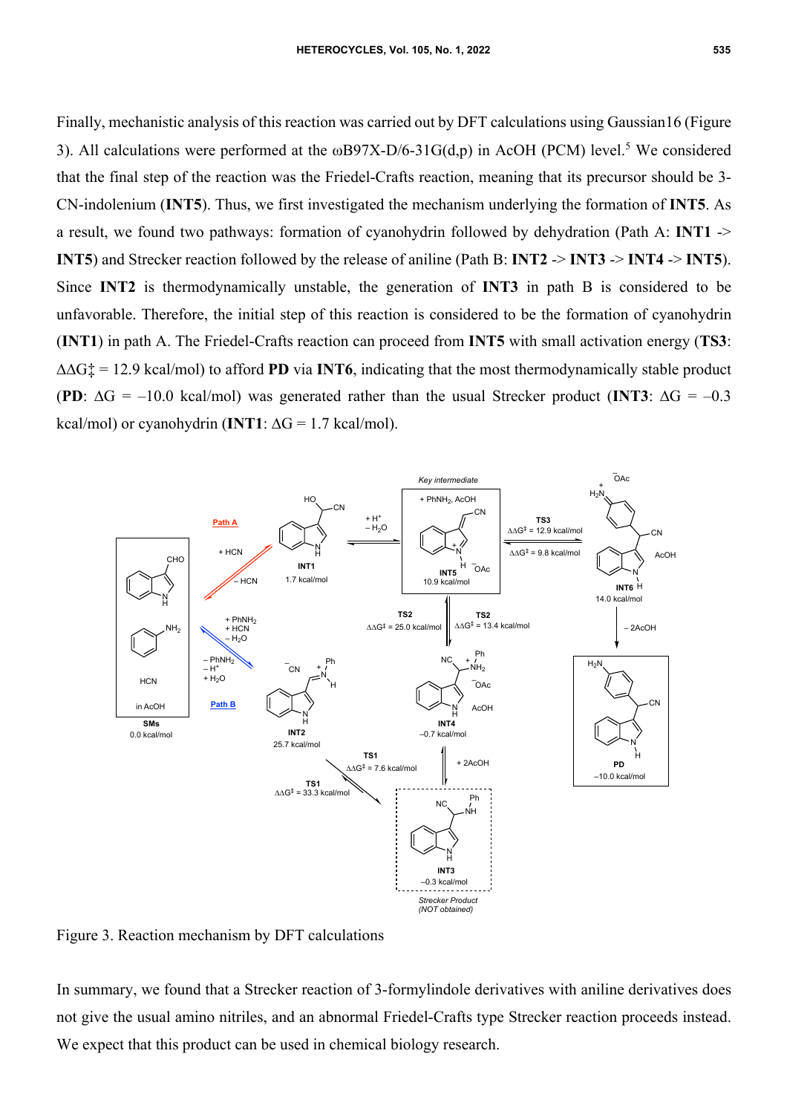Finally, mechanistic analysis of this reaction was carried out by DFT calculations using Gaussian16 (Figure 3). All calculations were performed at the  $\omega$ B97X-D/6-31G(d,p) in AcOH (PCM) level.<sup>5</sup> We considered that the final step of the reaction was the Friedel-Crafts reaction, meaning that its precursor should be 3- CN-indolenium (**INT5**). Thus, we first investigated the mechanism underlying the formation of **INT5**. As a result, we found two pathways: formation of cyanohydrin followed by dehydration (Path A: **INT1** -> **INT5**) and Strecker reaction followed by the release of aniline (Path B: **INT2** -> **INT3** -> **INT4** -> **INT5**). Since **INT2** is thermodynamically unstable, the generation of **INT3** in path B is considered to be unfavorable. Therefore, the initial step of this reaction is considered to be the formation of cyanohydrin (**INT1**) in path A. The Friedel-Crafts reaction can proceed from **INT5** with small activation energy (**TS3**: ∆∆G‡ = 12.9 kcal/mol) to afford **PD** via **INT6**, indicating that the most thermodynamically stable product (**PD**:  $\Delta G = -10.0$  kcal/mol) was generated rather than the usual Strecker product (**INT3**:  $\Delta G = -0.3$ kcal/mol) or cyanohydrin (**INT1**:  $\Delta G = 1.7$  kcal/mol).



Figure 3. Reaction mechanism by DFT calculations

In summary, we found that a Strecker reaction of 3-formylindole derivatives with aniline derivatives does not give the usual amino nitriles, and an abnormal Friedel-Crafts type Strecker reaction proceeds instead. We expect that this product can be used in chemical biology research.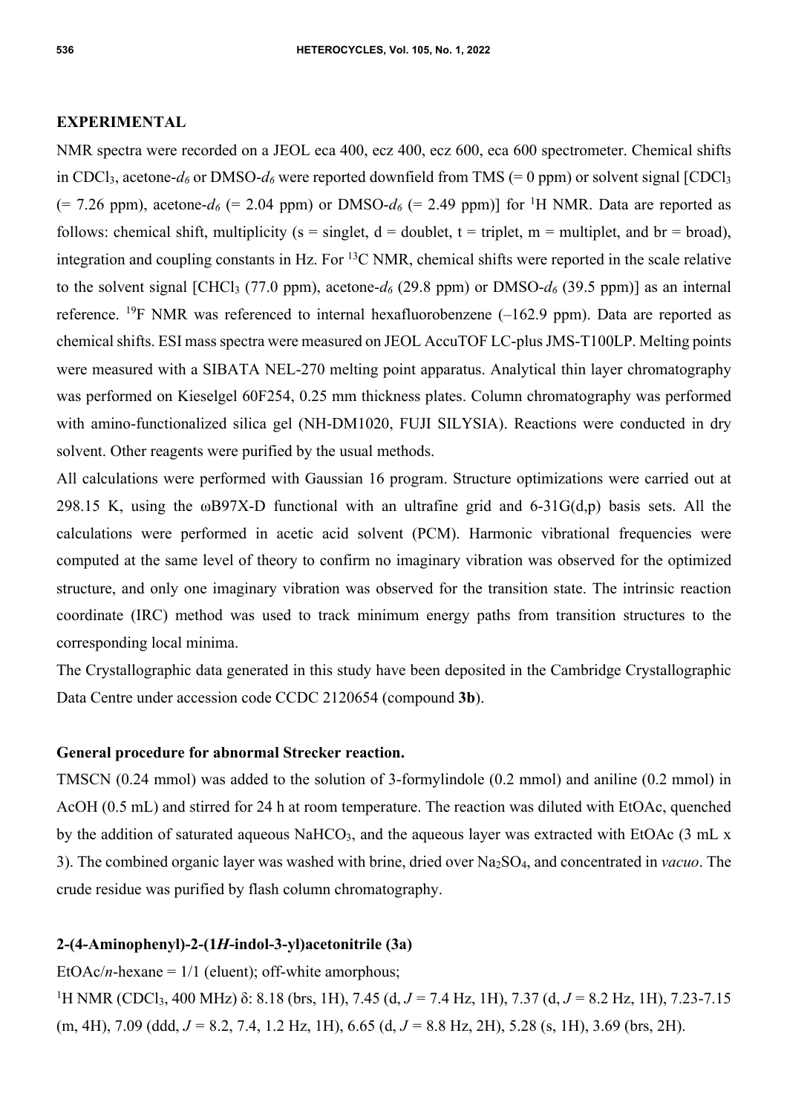#### **EXPERIMENTAL**

NMR spectra were recorded on a JEOL eca 400, ecz 400, ecz 600, eca 600 spectrometer. Chemical shifts in CDCl<sub>3</sub>, acetone- $d_6$  or DMSO- $d_6$  were reported downfield from TMS (= 0 ppm) or solvent signal [CDCl<sub>3</sub>  $(= 7.26$  ppm), acetone- $d_6$  (= 2.04 ppm) or DMSO- $d_6$  (= 2.49 ppm)] for <sup>1</sup>H NMR. Data are reported as follows: chemical shift, multiplicity (s = singlet,  $d =$  doublet, t = triplet, m = multiplet, and br = broad), integration and coupling constants in Hz. For  ${}^{13}C$  NMR, chemical shifts were reported in the scale relative to the solvent signal [CHCl<sub>3</sub> (77.0 ppm), acetone- $d_6$  (29.8 ppm) or DMSO- $d_6$  (39.5 ppm)] as an internal reference. <sup>19</sup>F NMR was referenced to internal hexafluorobenzene  $(-162.9 \text{ ppm})$ . Data are reported as chemical shifts. ESI mass spectra were measured on JEOL AccuTOF LC-plus JMS-T100LP. Melting points were measured with a SIBATA NEL-270 melting point apparatus. Analytical thin layer chromatography was performed on Kieselgel 60F254, 0.25 mm thickness plates. Column chromatography was performed with amino-functionalized silica gel (NH-DM1020, FUJI SILYSIA). Reactions were conducted in dry solvent. Other reagents were purified by the usual methods.

All calculations were performed with Gaussian 16 program. Structure optimizations were carried out at 298.15 K, using the  $\omega$ B97X-D functional with an ultrafine grid and 6-31G(d,p) basis sets. All the calculations were performed in acetic acid solvent (PCM). Harmonic vibrational frequencies were computed at the same level of theory to confirm no imaginary vibration was observed for the optimized structure, and only one imaginary vibration was observed for the transition state. The intrinsic reaction coordinate (IRC) method was used to track minimum energy paths from transition structures to the corresponding local minima.

The Crystallographic data generated in this study have been deposited in the Cambridge Crystallographic Data Centre under accession code CCDC 2120654 (compound **3b**).

### **General procedure for abnormal Strecker reaction.**

TMSCN (0.24 mmol) was added to the solution of 3-formylindole (0.2 mmol) and aniline (0.2 mmol) in AcOH (0.5 mL) and stirred for 24 h at room temperature. The reaction was diluted with EtOAc, quenched by the addition of saturated aqueous NaHCO<sub>3</sub>, and the aqueous layer was extracted with EtOAc  $(3 \text{ mL} \times$ 3). The combined organic layer was washed with brine, dried over Na2SO4, and concentrated in *vacuo*. The crude residue was purified by flash column chromatography.

#### **2-(4-Aminophenyl)-2-(1***H***-indol-3-yl)acetonitrile (3a)**

EtOAc/*n*-hexane =  $1/1$  (eluent); off-white amorphous;

1 H NMR (CDCl3, 400 MHz) δ: 8.18 (brs, 1H), 7.45 (d, *J =* 7.4 Hz, 1H), 7.37 (d, *J =* 8.2 Hz, 1H), 7.23-7.15 (m, 4H), 7.09 (ddd, *J =* 8.2, 7.4, 1.2 Hz, 1H), 6.65 (d, *J =* 8.8 Hz, 2H), 5.28 (s, 1H), 3.69 (brs, 2H).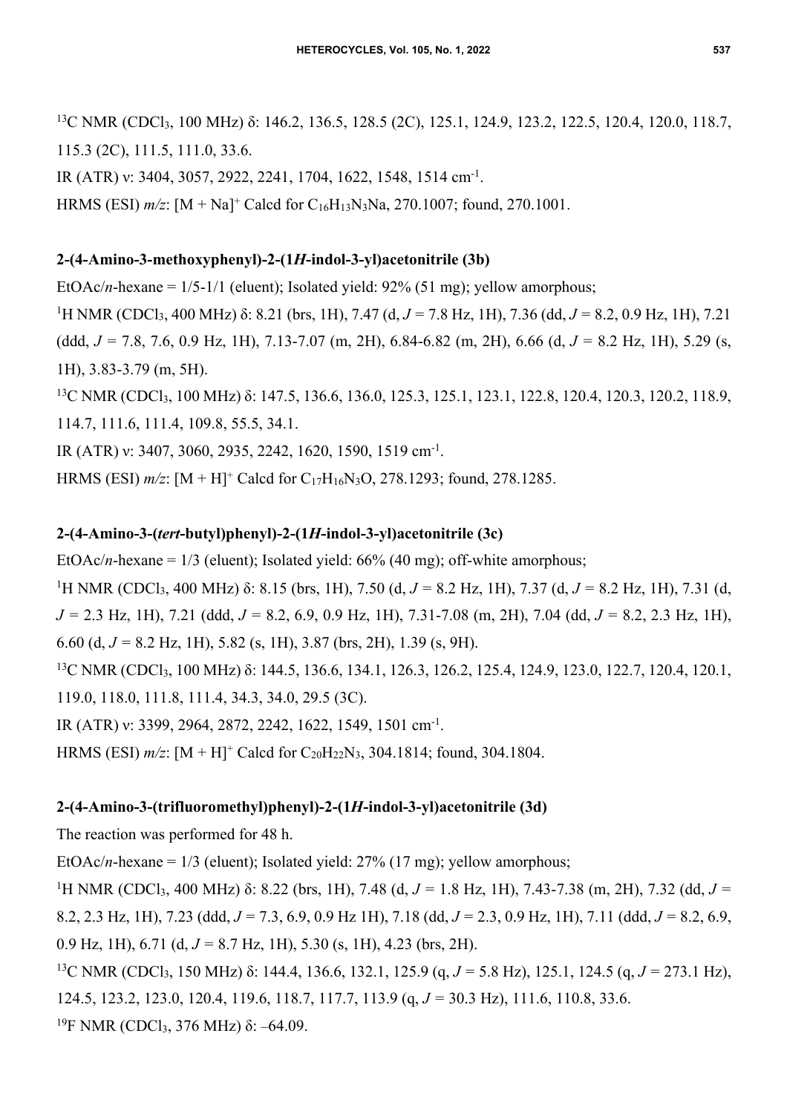<sup>13</sup>C NMR (CDCl<sub>3</sub>, 100 MHz) δ: 146.2, 136.5, 128.5 (2C), 125.1, 124.9, 123.2, 122.5, 120.4, 120.0, 118.7, 115.3 (2C), 111.5, 111.0, 33.6.

IR (ATR) v: 3404, 3057, 2922, 2241, 1704, 1622, 1548, 1514 cm<sup>-1</sup>.

HRMS (ESI) *m/z*: [M + Na]+ Calcd for C16H13N3Na, 270.1007; found, 270.1001.

# **2-(4-Amino-3-methoxyphenyl)-2-(1***H***-indol-3-yl)acetonitrile (3b)**

EtOAc/*n*-hexane =  $1/5-1/1$  (eluent); Isolated yield:  $92\%$  (51 mg); yellow amorphous;

1 H NMR (CDCl3, 400 MHz) δ: 8.21 (brs, 1H), 7.47 (d, *J =* 7.8 Hz, 1H), 7.36 (dd, *J =* 8.2, 0.9 Hz, 1H), 7.21 (ddd, *J =* 7.8, 7.6, 0.9 Hz, 1H), 7.13-7.07 (m, 2H), 6.84-6.82 (m, 2H), 6.66 (d, *J =* 8.2 Hz, 1H), 5.29 (s, 1H), 3.83-3.79 (m, 5H).

<sup>13</sup>C NMR (CDCl<sub>3</sub>, 100 MHz) δ: 147.5, 136.6, 136.0, 125.3, 125.1, 123.1, 122.8, 120.4, 120.3, 120.2, 118.9, 114.7, 111.6, 111.4, 109.8, 55.5, 34.1.

IR (ATR) ν: 3407, 3060, 2935, 2242, 1620, 1590, 1519 cm-1.

HRMS (ESI) *m/z*: [M + H]+ Calcd for C17H16N3O, 278.1293; found, 278.1285.

# **2-(4-Amino-3-(***tert***-butyl)phenyl)-2-(1***H***-indol-3-yl)acetonitrile (3c)**

EtOAc/*n*-hexane =  $1/3$  (eluent); Isolated yield:  $66\%$  (40 mg); off-white amorphous;

1 H NMR (CDCl3, 400 MHz) δ: 8.15 (brs, 1H), 7.50 (d, *J =* 8.2 Hz, 1H), 7.37 (d, *J =* 8.2 Hz, 1H), 7.31 (d, *J =* 2.3 Hz, 1H), 7.21 (ddd, *J =* 8.2, 6.9, 0.9 Hz, 1H), 7.31-7.08 (m, 2H), 7.04 (dd, *J =* 8.2, 2.3 Hz, 1H), 6.60 (d, *J =* 8.2 Hz, 1H), 5.82 (s, 1H), 3.87 (brs, 2H), 1.39 (s, 9H).

<sup>13</sup>C NMR (CDCl<sub>3</sub>, 100 MHz) δ: 144.5, 136.6, 134.1, 126.3, 126.2, 125.4, 124.9, 123.0, 122.7, 120.4, 120.1, 119.0, 118.0, 111.8, 111.4, 34.3, 34.0, 29.5 (3C).

IR (ATR) ν: 3399, 2964, 2872, 2242, 1622, 1549, 1501 cm-1.

HRMS (ESI)  $m/z$ :  $[M + H]^+$  Calcd for C<sub>20</sub>H<sub>22</sub>N<sub>3</sub>, 304.1814; found, 304.1804.

# **2-(4-Amino-3-(trifluoromethyl)phenyl)-2-(1***H***-indol-3-yl)acetonitrile (3d)**

The reaction was performed for 48 h.

EtOAc/*n*-hexane = 1/3 (eluent); Isolated yield: 27% (17 mg); yellow amorphous;

<sup>1</sup>H NMR (CDCl<sub>3</sub>, 400 MHz) δ: 8.22 (brs, 1H), 7.48 (d, *J* = 1.8 Hz, 1H), 7.43-7.38 (m, 2H), 7.32 (dd, *J* = 8.2, 2.3 Hz, 1H), 7.23 (ddd, *J =* 7.3, 6.9, 0.9 Hz 1H), 7.18 (dd, *J =* 2.3, 0.9 Hz, 1H), 7.11 (ddd, *J =* 8.2, 6.9, 0.9 Hz, 1H), 6.71 (d, *J =* 8.7 Hz, 1H), 5.30 (s, 1H), 4.23 (brs, 2H).

13C NMR (CDCl3, 150 MHz) δ: 144.4, 136.6, 132.1, 125.9 (q, *J =* 5.8 Hz), 125.1, 124.5 (q, *J =* 273.1 Hz), 124.5, 123.2, 123.0, 120.4, 119.6, 118.7, 117.7, 113.9 (q, *J =* 30.3 Hz), 111.6, 110.8, 33.6. <sup>19</sup>F NMR (CDCl<sub>3</sub>, 376 MHz) δ: –64.09.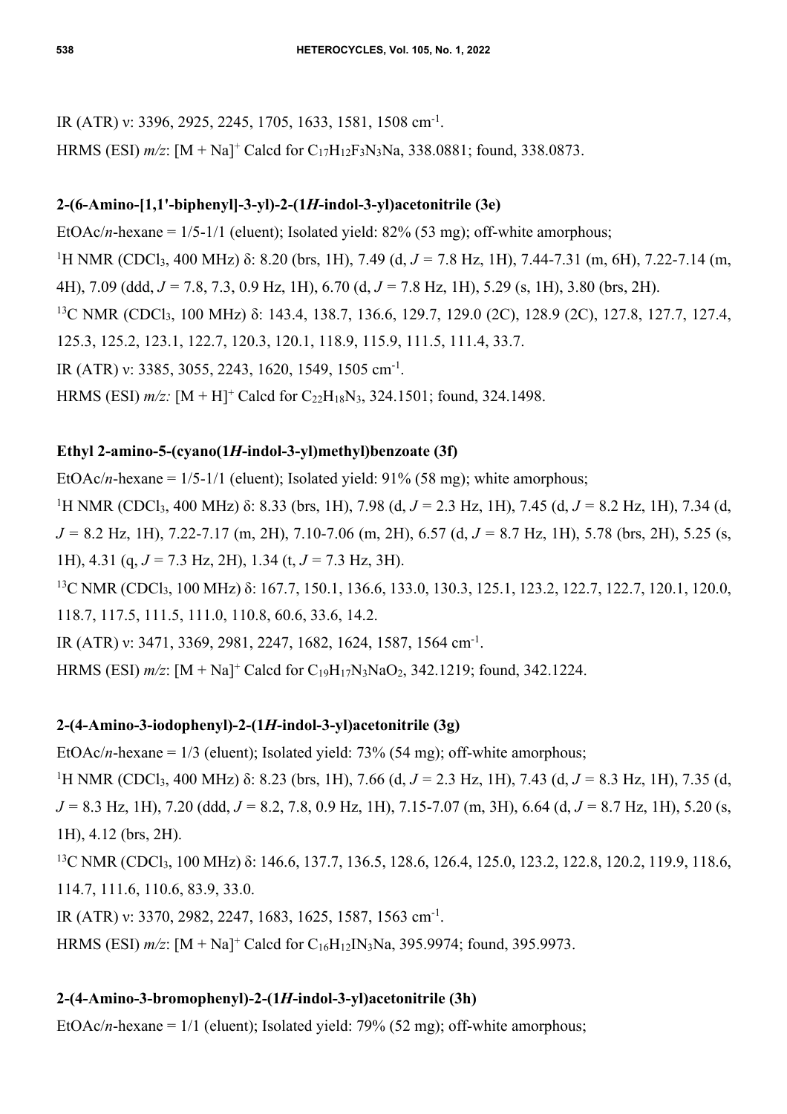IR (ATR) ν: 3396, 2925, 2245, 1705, 1633, 1581, 1508 cm-1. HRMS (ESI) *m/z*: [M + Na]+ Calcd for C17H12F3N3Na, 338.0881; found, 338.0873.

# **2-(6-Amino-[1,1'-biphenyl]-3-yl)-2-(1***H***-indol-3-yl)acetonitrile (3e)**

EtOAc/*n*-hexane = 1/5-1/1 (eluent); Isolated yield: 82% (53 mg); off-white amorphous; <sup>1</sup>H NMR (CDCl<sub>3</sub>, 400 MHz) δ: 8.20 (brs, 1H), 7.49 (d, *J* = 7.8 Hz, 1H), 7.44-7.31 (m, 6H), 7.22-7.14 (m, 4H), 7.09 (ddd, *J =* 7.8, 7.3, 0.9 Hz, 1H), 6.70 (d, *J =* 7.8 Hz, 1H), 5.29 (s, 1H), 3.80 (brs, 2H). <sup>13</sup>C NMR (CDCl<sub>3</sub>, 100 MHz) δ: 143.4, 138.7, 136.6, 129.7, 129.0 (2C), 128.9 (2C), 127.8, 127.7, 127.4, 125.3, 125.2, 123.1, 122.7, 120.3, 120.1, 118.9, 115.9, 111.5, 111.4, 33.7. IR (ATR) ν: 3385, 3055, 2243, 1620, 1549, 1505 cm-1. HRMS (ESI)  $m/z$ :  $[M + H]^+$  Calcd for C<sub>22</sub>H<sub>18</sub>N<sub>3</sub>, 324.1501; found, 324.1498.

# **Ethyl 2-amino-5-(cyano(1***H***-indol-3-yl)methyl)benzoate (3f)**

EtOAc/*n*-hexane =  $1/5-1/1$  (eluent); Isolated yield:  $91\%$  (58 mg); white amorphous; 1 H NMR (CDCl3, 400 MHz) δ: 8.33 (brs, 1H), 7.98 (d, *J =* 2.3 Hz, 1H), 7.45 (d, *J =* 8.2 Hz, 1H), 7.34 (d, *J =* 8.2 Hz, 1H), 7.22-7.17 (m, 2H), 7.10-7.06 (m, 2H), 6.57 (d, *J =* 8.7 Hz, 1H), 5.78 (brs, 2H), 5.25 (s, 1H), 4.31 (q, *J =* 7.3 Hz, 2H), 1.34 (t, *J =* 7.3 Hz, 3H). <sup>13</sup>C NMR (CDCl<sub>3</sub>, 100 MHz) δ: 167.7, 150.1, 136.6, 133.0, 130.3, 125.1, 123.2, 122.7, 122.7, 120.1, 120.0, 118.7, 117.5, 111.5, 111.0, 110.8, 60.6, 33.6, 14.2. IR (ATR) v: 3471, 3369, 2981, 2247, 1682, 1624, 1587, 1564 cm<sup>-1</sup>. HRMS (ESI) *m/z*: [M + Na]+ Calcd for C19H17N3NaO2, 342.1219; found, 342.1224.

# **2-(4-Amino-3-iodophenyl)-2-(1***H***-indol-3-yl)acetonitrile (3g)**

EtOAc/*n*-hexane = 1/3 (eluent); Isolated yield: 73% (54 mg); off-white amorphous;

1 H NMR (CDCl3, 400 MHz) δ: 8.23 (brs, 1H), 7.66 (d, *J =* 2.3 Hz, 1H), 7.43 (d, *J =* 8.3 Hz, 1H), 7.35 (d, *J =* 8.3 Hz, 1H), 7.20 (ddd, *J =* 8.2, 7.8, 0.9 Hz, 1H), 7.15-7.07 (m, 3H), 6.64 (d, *J =* 8.7 Hz, 1H), 5.20 (s, 1H), 4.12 (brs, 2H).

13C NMR (CDCl3, 100 MHz) δ: 146.6, 137.7, 136.5, 128.6, 126.4, 125.0, 123.2, 122.8, 120.2, 119.9, 118.6, 114.7, 111.6, 110.6, 83.9, 33.0.

IR (ATR) ν: 3370, 2982, 2247, 1683, 1625, 1587, 1563 cm-1.

HRMS (ESI) *m/z*: [M + Na]+ Calcd for C16H12IN3Na, 395.9974; found, 395.9973.

# **2-(4-Amino-3-bromophenyl)-2-(1***H***-indol-3-yl)acetonitrile (3h)**

EtOAc/*n*-hexane = 1/1 (eluent); Isolated yield: 79% (52 mg); off-white amorphous;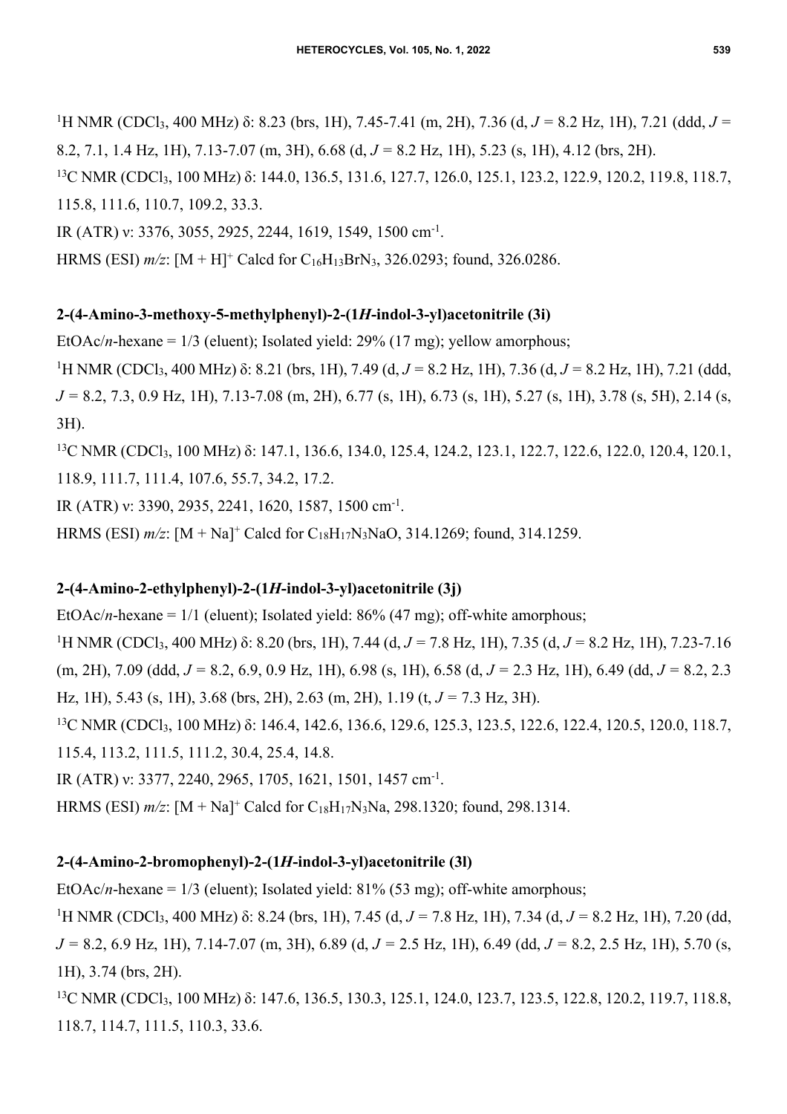<sup>1</sup>H NMR (CDCl<sub>3</sub>, 400 MHz) δ: 8.23 (brs, 1H), 7.45-7.41 (m, 2H), 7.36 (d, *J* = 8.2 Hz, 1H), 7.21 (ddd, *J* = 8.2, 7.1, 1.4 Hz, 1H), 7.13-7.07 (m, 3H), 6.68 (d, *J =* 8.2 Hz, 1H), 5.23 (s, 1H), 4.12 (brs, 2H).

<sup>13</sup>C NMR (CDCl<sub>3</sub>, 100 MHz) δ: 144.0, 136.5, 131.6, 127.7, 126.0, 125.1, 123.2, 122.9, 120.2, 119.8, 118.7, 115.8, 111.6, 110.7, 109.2, 33.3.

IR (ATR) ν: 3376, 3055, 2925, 2244, 1619, 1549, 1500 cm-1.

HRMS (ESI)  $m/z$ : [M + H]<sup>+</sup> Calcd for C<sub>16</sub>H<sub>13</sub>BrN<sub>3</sub>, 326.0293; found, 326.0286.

#### **2-(4-Amino-3-methoxy-5-methylphenyl)-2-(1***H***-indol-3-yl)acetonitrile (3i)**

EtOAc/*n*-hexane =  $1/3$  (eluent); Isolated yield:  $29%$  (17 mg); yellow amorphous;

1 H NMR (CDCl3, 400 MHz) δ: 8.21 (brs, 1H), 7.49 (d, *J =* 8.2 Hz, 1H), 7.36 (d, *J =* 8.2 Hz, 1H), 7.21 (ddd, *J =* 8.2, 7.3, 0.9 Hz, 1H), 7.13-7.08 (m, 2H), 6.77 (s, 1H), 6.73 (s, 1H), 5.27 (s, 1H), 3.78 (s, 5H), 2.14 (s, 3H).

<sup>13</sup>C NMR (CDCl<sub>3</sub>, 100 MHz) δ: 147.1, 136.6, 134.0, 125.4, 124.2, 123.1, 122.7, 122.6, 122.0, 120.4, 120.1, 118.9, 111.7, 111.4, 107.6, 55.7, 34.2, 17.2.

IR (ATR) ν: 3390, 2935, 2241, 1620, 1587, 1500 cm-1.

HRMS (ESI) *m/z*: [M + Na]+ Calcd for C18H17N3NaO, 314.1269; found, 314.1259.

#### **2-(4-Amino-2-ethylphenyl)-2-(1***H***-indol-3-yl)acetonitrile (3j)**

EtOAc/*n*-hexane =  $1/1$  (eluent); Isolated yield: 86% (47 mg); off-white amorphous; 1 H NMR (CDCl3, 400 MHz) δ: 8.20 (brs, 1H), 7.44 (d, *J =* 7.8 Hz, 1H), 7.35 (d, *J =* 8.2 Hz, 1H), 7.23-7.16 (m, 2H), 7.09 (ddd, *J =* 8.2, 6.9, 0.9 Hz, 1H), 6.98 (s, 1H), 6.58 (d, *J =* 2.3 Hz, 1H), 6.49 (dd, *J =* 8.2, 2.3 Hz, 1H), 5.43 (s, 1H), 3.68 (brs, 2H), 2.63 (m, 2H), 1.19 (t, *J =* 7.3 Hz, 3H). <sup>13</sup>C NMR (CDCl<sub>3</sub>, 100 MHz) δ: 146.4, 142.6, 136.6, 129.6, 125.3, 123.5, 122.6, 122.4, 120.5, 120.0, 118.7, 115.4, 113.2, 111.5, 111.2, 30.4, 25.4, 14.8.

IR (ATR) ν: 3377, 2240, 2965, 1705, 1621, 1501, 1457 cm-1.

HRMS (ESI) *m/z*: [M + Na]+ Calcd for C18H17N3Na, 298.1320; found, 298.1314.

### **2-(4-Amino-2-bromophenyl)-2-(1***H***-indol-3-yl)acetonitrile (3l)**

EtOAc/*n*-hexane = 1/3 (eluent); Isolated yield: 81% (53 mg); off-white amorphous; 1 H NMR (CDCl3, 400 MHz) δ: 8.24 (brs, 1H), 7.45 (d, *J =* 7.8 Hz, 1H), 7.34 (d, *J =* 8.2 Hz, 1H), 7.20 (dd, *J =* 8.2, 6.9 Hz, 1H), 7.14-7.07 (m, 3H), 6.89 (d, *J =* 2.5 Hz, 1H), 6.49 (dd, *J =* 8.2, 2.5 Hz, 1H), 5.70 (s, 1H), 3.74 (brs, 2H).

<sup>13</sup>C NMR (CDCl<sub>3</sub>, 100 MHz) δ: 147.6, 136.5, 130.3, 125.1, 124.0, 123.7, 123.5, 122.8, 120.2, 119.7, 118.8, 118.7, 114.7, 111.5, 110.3, 33.6.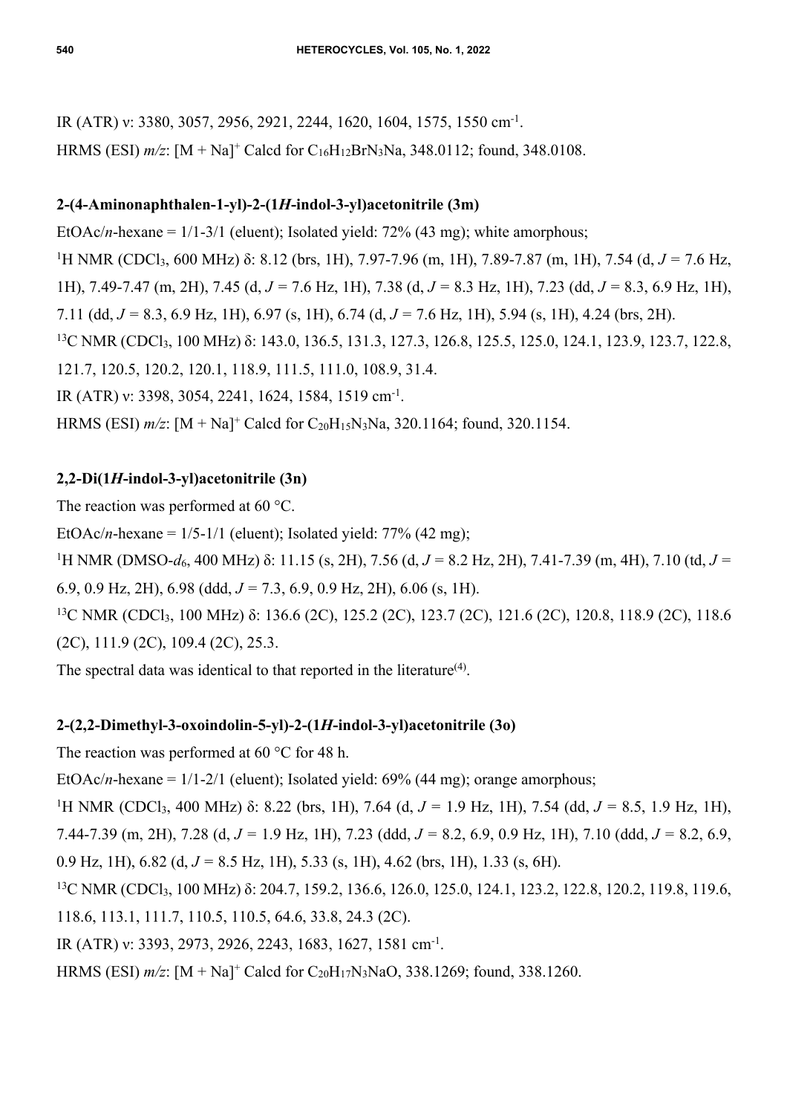IR (ATR) v: 3380, 3057, 2956, 2921, 2244, 1620, 1604, 1575, 1550 cm<sup>-1</sup>. HRMS (ESI) *m/z*: [M + Na]+ Calcd for C16H12BrN3Na, 348.0112; found, 348.0108.

# **2-(4-Aminonaphthalen-1-yl)-2-(1***H***-indol-3-yl)acetonitrile (3m)**

EtOAc/*n*-hexane = 1/1-3/1 (eluent); Isolated yield: 72% (43 mg); white amorphous; <sup>1</sup>H NMR (CDCl<sub>3</sub>, 600 MHz) δ: 8.12 (brs, 1H), 7.97-7.96 (m, 1H), 7.89-7.87 (m, 1H), 7.54 (d, *J* = 7.6 Hz, 1H), 7.49-7.47 (m, 2H), 7.45 (d, *J =* 7.6 Hz, 1H), 7.38 (d, *J =* 8.3 Hz, 1H), 7.23 (dd, *J =* 8.3, 6.9 Hz, 1H), 7.11 (dd, *J =* 8.3, 6.9 Hz, 1H), 6.97 (s, 1H), 6.74 (d, *J =* 7.6 Hz, 1H), 5.94 (s, 1H), 4.24 (brs, 2H). <sup>13</sup>C NMR (CDCl<sub>3</sub>, 100 MHz) δ: 143.0, 136.5, 131.3, 127.3, 126.8, 125.5, 125.0, 124.1, 123.9, 123.7, 122.8, 121.7, 120.5, 120.2, 120.1, 118.9, 111.5, 111.0, 108.9, 31.4. IR (ATR) ν: 3398, 3054, 2241, 1624, 1584, 1519 cm-1. HRMS (ESI)  $m/z$ : [M + Na]<sup>+</sup> Calcd for C<sub>20</sub>H<sub>15</sub>N<sub>3</sub>Na, 320.1164; found, 320.1154.

# **2,2-Di(1***H***-indol-3-yl)acetonitrile (3n)**

The reaction was performed at 60 °C.

EtOAc/*n*-hexane =  $1/5$ -1/1 (eluent); Isolated yield:  $77\%$  (42 mg);

1 H NMR (DMSO-*d*6, 400 MHz) δ: 11.15 (s, 2H), 7.56 (d, *J =* 8.2 Hz, 2H), 7.41-7.39 (m, 4H), 7.10 (td, *J =* 

6.9, 0.9 Hz, 2H), 6.98 (ddd, *J =* 7.3, 6.9, 0.9 Hz, 2H), 6.06 (s, 1H).

<sup>13</sup>C NMR (CDCl<sub>3</sub>, 100 MHz) δ: 136.6 (2C), 125.2 (2C), 123.7 (2C), 121.6 (2C), 120.8, 118.9 (2C), 118.6 (2C), 111.9 (2C), 109.4 (2C), 25.3.

The spectral data was identical to that reported in the literature<sup> $(4)$ </sup>.

# **2-(2,2-Dimethyl-3-oxoindolin-5-yl)-2-(1***H***-indol-3-yl)acetonitrile (3o)**

The reaction was performed at 60 °C for 48 h.

EtOAc/*n*-hexane =  $1/1-2/1$  (eluent); Isolated yield: 69% (44 mg); orange amorphous;

1 H NMR (CDCl3, 400 MHz) δ: 8.22 (brs, 1H), 7.64 (d, *J =* 1.9 Hz, 1H), 7.54 (dd, *J =* 8.5, 1.9 Hz, 1H), 7.44-7.39 (m, 2H), 7.28 (d, *J =* 1.9 Hz, 1H), 7.23 (ddd, *J =* 8.2, 6.9, 0.9 Hz, 1H), 7.10 (ddd, *J =* 8.2, 6.9, 0.9 Hz, 1H), 6.82 (d, *J =* 8.5 Hz, 1H), 5.33 (s, 1H), 4.62 (brs, 1H), 1.33 (s, 6H).

<sup>13</sup>C NMR (CDCl<sub>3</sub>, 100 MHz) δ: 204.7, 159.2, 136.6, 126.0, 125.0, 124.1, 123.2, 122.8, 120.2, 119.8, 119.6, 118.6, 113.1, 111.7, 110.5, 110.5, 64.6, 33.8, 24.3 (2C).

IR (ATR) ν: 3393, 2973, 2926, 2243, 1683, 1627, 1581 cm-1.

HRMS (ESI) *m/z*: [M + Na]+ Calcd for C20H17N3NaO, 338.1269; found, 338.1260.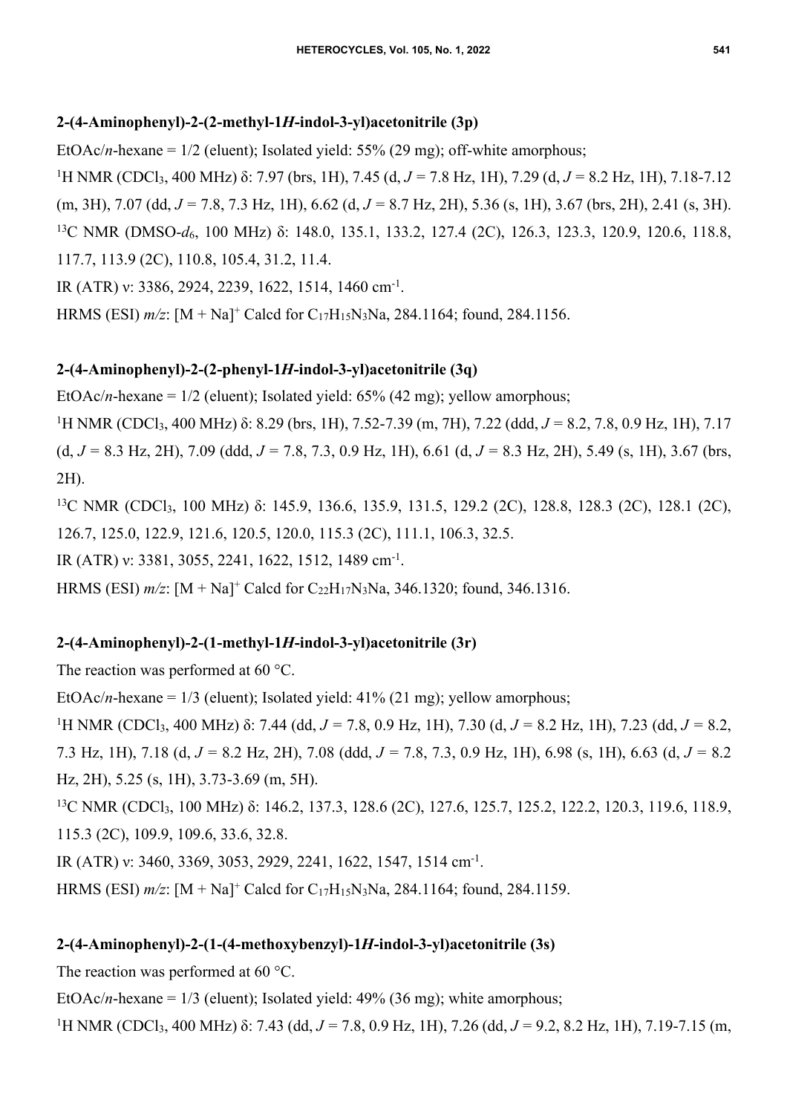### **2-(4-Aminophenyl)-2-(2-methyl-1***H***-indol-3-yl)acetonitrile (3p)**

EtOAc/*n*-hexane = 1/2 (eluent); Isolated yield: 55% (29 mg); off-white amorphous;

1 H NMR (CDCl3, 400 MHz) δ: 7.97 (brs, 1H), 7.45 (d, *J =* 7.8 Hz, 1H), 7.29 (d, *J =* 8.2 Hz, 1H), 7.18-7.12 (m, 3H), 7.07 (dd, *J =* 7.8, 7.3 Hz, 1H), 6.62 (d, *J =* 8.7 Hz, 2H), 5.36 (s, 1H), 3.67 (brs, 2H), 2.41 (s, 3H). <sup>13</sup>C NMR (DMSO-*d*<sub>6</sub>, 100 MHz) δ: 148.0, 135.1, 133.2, 127.4 (2C), 126.3, 123.3, 120.9, 120.6, 118.8, 117.7, 113.9 (2C), 110.8, 105.4, 31.2, 11.4.

IR (ATR) ν: 3386, 2924, 2239, 1622, 1514, 1460 cm-1.

HRMS (ESI) *m/z*: [M + Na]+ Calcd for C17H15N3Na, 284.1164; found, 284.1156.

### **2-(4-Aminophenyl)-2-(2-phenyl-1***H***-indol-3-yl)acetonitrile (3q)**

EtOAc/*n*-hexane =  $1/2$  (eluent); Isolated yield:  $65\%$  (42 mg); yellow amorphous;

<sup>1</sup>H NMR (CDCl<sub>3</sub>, 400 MHz) δ: 8.29 (brs, 1H), 7.52-7.39 (m, 7H), 7.22 (ddd, *J* = 8.2, 7.8, 0.9 Hz, 1H), 7.17 (d, *J =* 8.3 Hz, 2H), 7.09 (ddd, *J =* 7.8, 7.3, 0.9 Hz, 1H), 6.61 (d, *J =* 8.3 Hz, 2H), 5.49 (s, 1H), 3.67 (brs, 2H).

<sup>13</sup>C NMR (CDCl<sub>3</sub>, 100 MHz) δ: 145.9, 136.6, 135.9, 131.5, 129.2 (2C), 128.8, 128.3 (2C), 128.1 (2C), 126.7, 125.0, 122.9, 121.6, 120.5, 120.0, 115.3 (2C), 111.1, 106.3, 32.5.

IR (ATR) ν: 3381, 3055, 2241, 1622, 1512, 1489 cm-1.

HRMS (ESI)  $m/z$ : [M + Na]<sup>+</sup> Calcd for C<sub>22</sub>H<sub>17</sub>N<sub>3</sub>Na, 346.1320; found, 346.1316.

# **2-(4-Aminophenyl)-2-(1-methyl-1***H***-indol-3-yl)acetonitrile (3r)**

The reaction was performed at 60 °C.

EtOAc/*n*-hexane =  $1/3$  (eluent); Isolated yield:  $41\%$  (21 mg); yellow amorphous;

1 H NMR (CDCl3, 400 MHz) δ: 7.44 (dd, *J =* 7.8, 0.9 Hz, 1H), 7.30 (d, *J =* 8.2 Hz, 1H), 7.23 (dd, *J =* 8.2, 7.3 Hz, 1H), 7.18 (d, *J =* 8.2 Hz, 2H), 7.08 (ddd, *J =* 7.8, 7.3, 0.9 Hz, 1H), 6.98 (s, 1H), 6.63 (d, *J =* 8.2 Hz, 2H), 5.25 (s, 1H), 3.73-3.69 (m, 5H).

<sup>13</sup>C NMR (CDCl<sub>3</sub>, 100 MHz) δ: 146.2, 137.3, 128.6 (2C), 127.6, 125.7, 125.2, 122.2, 120.3, 119.6, 118.9, 115.3 (2C), 109.9, 109.6, 33.6, 32.8.

IR (ATR) ν: 3460, 3369, 3053, 2929, 2241, 1622, 1547, 1514 cm-1.

HRMS (ESI) *m/z*: [M + Na]+ Calcd for C17H15N3Na, 284.1164; found, 284.1159.

### **2-(4-Aminophenyl)-2-(1-(4-methoxybenzyl)-1***H***-indol-3-yl)acetonitrile (3s)**

The reaction was performed at 60 °C.

EtOAc/*n*-hexane = 1/3 (eluent); Isolated yield: 49% (36 mg); white amorphous;

<sup>1</sup>H NMR (CDCl<sub>3</sub>, 400 MHz) δ: 7.43 (dd, *J* = 7.8, 0.9 Hz, 1H), 7.26 (dd, *J* = 9.2, 8.2 Hz, 1H), 7.19-7.15 (m,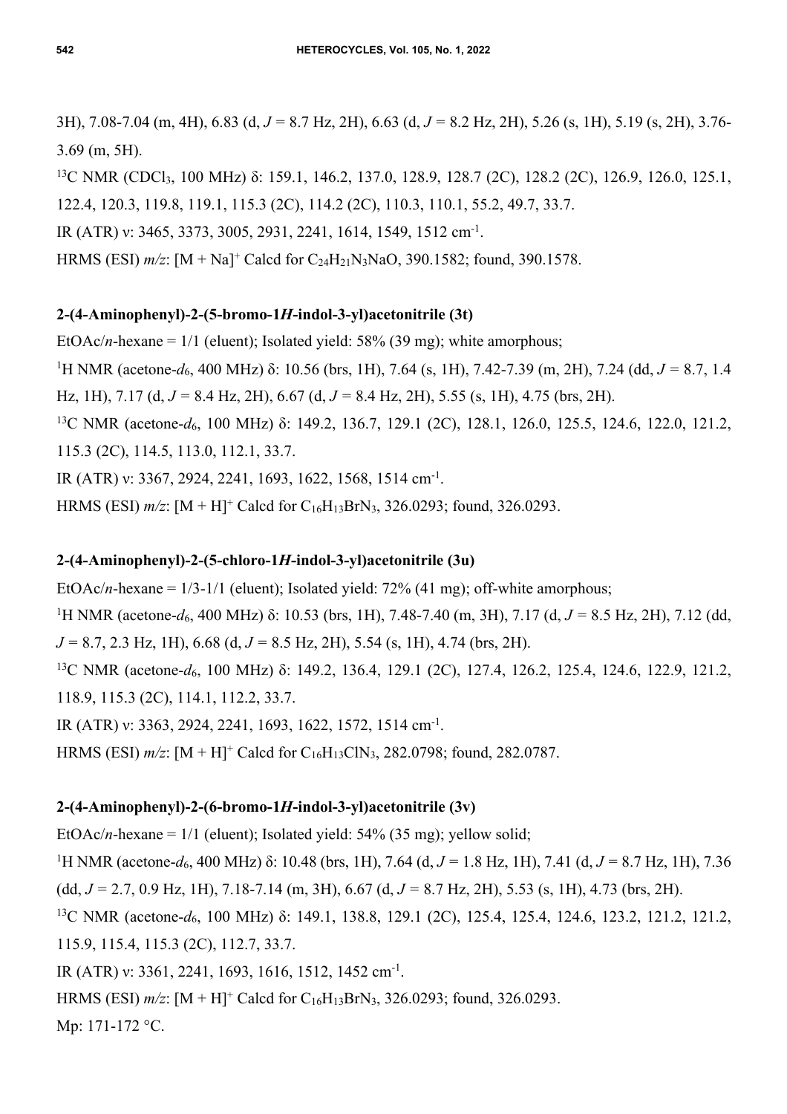3H), 7.08-7.04 (m, 4H), 6.83 (d, *J =* 8.7 Hz, 2H), 6.63 (d, *J =* 8.2 Hz, 2H), 5.26 (s, 1H), 5.19 (s, 2H), 3.76- 3.69 (m, 5H).

<sup>13</sup>C NMR (CDCl<sub>3</sub>, 100 MHz) δ: 159.1, 146.2, 137.0, 128.9, 128.7 (2C), 128.2 (2C), 126.9, 126.0, 125.1, 122.4, 120.3, 119.8, 119.1, 115.3 (2C), 114.2 (2C), 110.3, 110.1, 55.2, 49.7, 33.7.

IR (ATR) ν: 3465, 3373, 3005, 2931, 2241, 1614, 1549, 1512 cm-1.

HRMS (ESI) *m/z*: [M + Na]+ Calcd for C24H21N3NaO, 390.1582; found, 390.1578.

### **2-(4-Aminophenyl)-2-(5-bromo-1***H***-indol-3-yl)acetonitrile (3t)**

EtOAc/*n*-hexane = 1/1 (eluent); Isolated yield: 58% (39 mg); white amorphous;

<sup>1</sup>H NMR (acetone-*d*<sub>6</sub>, 400 MHz) δ: 10.56 (brs, 1H), 7.64 (s, 1H), 7.42-7.39 (m, 2H), 7.24 (dd, *J* = 8.7, 1.4 Hz, 1H), 7.17 (d, *J =* 8.4 Hz, 2H), 6.67 (d, *J =* 8.4 Hz, 2H), 5.55 (s, 1H), 4.75 (brs, 2H).

<sup>13</sup>C NMR (acetone-*d*<sub>6</sub>, 100 MHz) δ: 149.2, 136.7, 129.1 (2C), 128.1, 126.0, 125.5, 124.6, 122.0, 121.2, 115.3 (2C), 114.5, 113.0, 112.1, 33.7.

IR (ATR) ν: 3367, 2924, 2241, 1693, 1622, 1568, 1514 cm-1.

HRMS (ESI) *m/z*: [M + H]+ Calcd for C16H13BrN3, 326.0293; found, 326.0293.

## **2-(4-Aminophenyl)-2-(5-chloro-1***H***-indol-3-yl)acetonitrile (3u)**

EtOAc/*n*-hexane =  $1/3$ -1/1 (eluent); Isolated yield: 72% (41 mg); off-white amorphous;

<sup>1</sup>H NMR (acetone-*d*<sub>6</sub>, 400 MHz) δ: 10.53 (brs, 1H), 7.48-7.40 (m, 3H), 7.17 (d, *J* = 8.5 Hz, 2H), 7.12 (dd, *J =* 8.7, 2.3 Hz, 1H), 6.68 (d, *J =* 8.5 Hz, 2H), 5.54 (s, 1H), 4.74 (brs, 2H).

<sup>13</sup>C NMR (acetone-*d*<sub>6</sub>, 100 MHz) δ: 149.2, 136.4, 129.1 (2C), 127.4, 126.2, 125.4, 124.6, 122.9, 121.2, 118.9, 115.3 (2C), 114.1, 112.2, 33.7.

IR (ATR) ν: 3363, 2924, 2241, 1693, 1622, 1572, 1514 cm-1.

HRMS (ESI) *m/z*: [M + H]+ Calcd for C16H13ClN3, 282.0798; found, 282.0787.

# **2-(4-Aminophenyl)-2-(6-bromo-1***H***-indol-3-yl)acetonitrile (3v)**

EtOAc/*n*-hexane =  $1/1$  (eluent); Isolated yield: 54% (35 mg); yellow solid;

<sup>1</sup>H NMR (acetone-*d*<sub>6</sub>, 400 MHz) δ: 10.48 (brs, 1H), 7.64 (d, *J* = 1.8 Hz, 1H), 7.41 (d, *J* = 8.7 Hz, 1H), 7.36

(dd, *J =* 2.7, 0.9 Hz, 1H), 7.18-7.14 (m, 3H), 6.67 (d, *J =* 8.7 Hz, 2H), 5.53 (s, 1H), 4.73 (brs, 2H).

13C NMR (acetone-*d*6, 100 MHz) δ: 149.1, 138.8, 129.1 (2C), 125.4, 125.4, 124.6, 123.2, 121.2, 121.2, 115.9, 115.4, 115.3 (2C), 112.7, 33.7.

IR (ATR) ν: 3361, 2241, 1693, 1616, 1512, 1452 cm-1.

HRMS (ESI) *m/z*: [M + H]<sup>+</sup> Calcd for C<sub>16</sub>H<sub>13</sub>BrN<sub>3</sub>, 326.0293; found, 326.0293.

Mp: 171-172 °C.